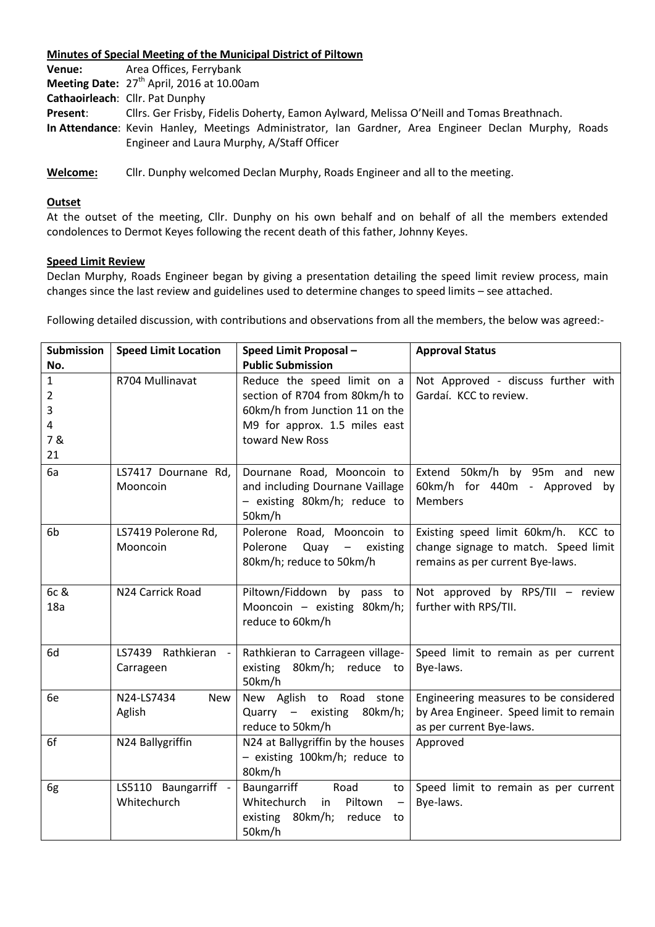## **Minutes of Special Meeting of the Municipal District of Piltown**

| Venue:   | Area Offices, Ferrybank                                                                                                                            |  |  |  |
|----------|----------------------------------------------------------------------------------------------------------------------------------------------------|--|--|--|
|          | Meeting Date: 27 <sup>th</sup> April, 2016 at 10.00am                                                                                              |  |  |  |
|          | Cathaoirleach: Cllr. Pat Dunphy                                                                                                                    |  |  |  |
| Present: | Cllrs. Ger Frisby, Fidelis Doherty, Eamon Aylward, Melissa O'Neill and Tomas Breathnach.                                                           |  |  |  |
|          | In Attendance: Kevin Hanley, Meetings Administrator, Ian Gardner, Area Engineer Declan Murphy, Roads<br>Engineer and Laura Murphy, A/Staff Officer |  |  |  |
|          |                                                                                                                                                    |  |  |  |

**Welcome:** Cllr. Dunphy welcomed Declan Murphy, Roads Engineer and all to the meeting.

## **Outset**

At the outset of the meeting, Cllr. Dunphy on his own behalf and on behalf of all the members extended condolences to Dermot Keyes following the recent death of this father, Johnny Keyes.

## **Speed Limit Review**

Declan Murphy, Roads Engineer began by giving a presentation detailing the speed limit review process, main changes since the last review and guidelines used to determine changes to speed limits – see attached.

Following detailed discussion, with contributions and observations from all the members, the below was agreed:-

| <b>Submission</b>       | <b>Speed Limit Location</b>        | Speed Limit Proposal -                                                                                                          | <b>Approval Status</b>                                                                                          |
|-------------------------|------------------------------------|---------------------------------------------------------------------------------------------------------------------------------|-----------------------------------------------------------------------------------------------------------------|
| No.                     |                                    | <b>Public Submission</b>                                                                                                        |                                                                                                                 |
| 1                       | R704 Mullinavat                    | Reduce the speed limit on a                                                                                                     | Not Approved - discuss further with                                                                             |
| 2                       |                                    | section of R704 from 80km/h to                                                                                                  | Gardaí. KCC to review.                                                                                          |
| 3                       |                                    | 60km/h from Junction 11 on the                                                                                                  |                                                                                                                 |
| $\overline{\mathbf{4}}$ |                                    | M9 for approx. 1.5 miles east                                                                                                   |                                                                                                                 |
| 7&                      |                                    | toward New Ross                                                                                                                 |                                                                                                                 |
| 21                      |                                    |                                                                                                                                 |                                                                                                                 |
| 6a                      | LS7417 Dournane Rd,<br>Mooncoin    | Dournane Road, Mooncoin to<br>and including Dournane Vaillage<br>- existing 80km/h; reduce to<br>50km/h                         | Extend 50km/h by 95m and new<br>60km/h for 440m - Approved by<br><b>Members</b>                                 |
| 6b                      | LS7419 Polerone Rd,<br>Mooncoin    | Polerone Road, Mooncoin to<br>Polerone<br>Quay<br>$\frac{1}{2}$<br>existing<br>80km/h; reduce to 50km/h                         | Existing speed limit 60km/h. KCC to<br>change signage to match. Speed limit<br>remains as per current Bye-laws. |
| 6c &<br>18a             | N24 Carrick Road                   | Piltown/Fiddown by pass to<br>Mooncoin - existing 80km/h;<br>reduce to 60km/h                                                   | Not approved by RPS/TII - review<br>further with RPS/TII.                                                       |
| 6d                      | LS7439 Rathkieran -<br>Carrageen   | Rathkieran to Carrageen village-<br>existing 80km/h; reduce to<br>50km/h                                                        | Speed limit to remain as per current<br>Bye-laws.                                                               |
| 6e                      | N24-LS7434<br><b>New</b><br>Aglish | New Aglish to Road stone<br>Quarry - existing<br>80km/h;<br>reduce to 50km/h                                                    | Engineering measures to be considered<br>by Area Engineer. Speed limit to remain<br>as per current Bye-laws.    |
| 6f                      | N24 Ballygriffin                   | N24 at Ballygriffin by the houses<br>- existing 100km/h; reduce to<br>80km/h                                                    | Approved                                                                                                        |
| 6g                      | LS5110 Baungarriff<br>Whitechurch  | Baungarriff<br>Road<br>to<br>Whitechurch<br>Piltown<br>in<br>$\qquad \qquad -$<br>existing<br>80km/h;<br>reduce<br>to<br>50km/h | Speed limit to remain as per current<br>Bye-laws.                                                               |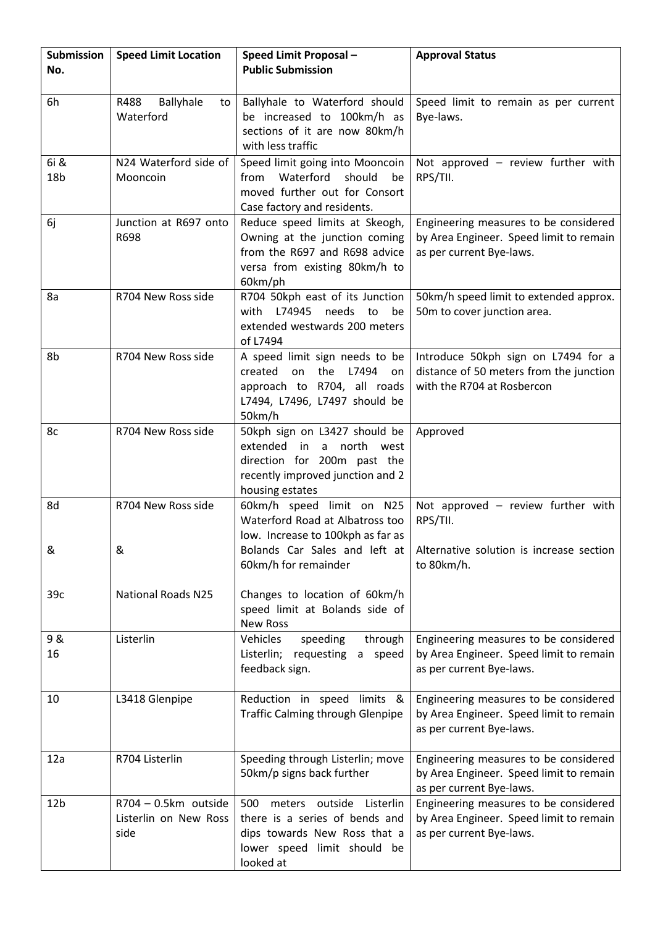| Submission      | <b>Speed Limit Location</b>                           | Speed Limit Proposal -<br><b>Public Submission</b>                                                                                                    | <b>Approval Status</b>                                                                                       |
|-----------------|-------------------------------------------------------|-------------------------------------------------------------------------------------------------------------------------------------------------------|--------------------------------------------------------------------------------------------------------------|
| No.             |                                                       |                                                                                                                                                       |                                                                                                              |
| 6h              | R488<br>Ballyhale<br>to<br>Waterford                  | Ballyhale to Waterford should<br>be increased to 100km/h as<br>sections of it are now 80km/h<br>with less traffic                                     | Speed limit to remain as per current<br>Bye-laws.                                                            |
| 6i &            | N24 Waterford side of                                 | Speed limit going into Mooncoin                                                                                                                       | Not approved $-$ review further with                                                                         |
| 18 <sub>b</sub> | Mooncoin                                              | Waterford<br>should<br>from<br>be<br>moved further out for Consort<br>Case factory and residents.                                                     | RPS/TII.                                                                                                     |
| 6j              | Junction at R697 onto<br>R698                         | Reduce speed limits at Skeogh,<br>Owning at the junction coming<br>from the R697 and R698 advice<br>versa from existing 80km/h to<br>60km/ph          | Engineering measures to be considered<br>by Area Engineer. Speed limit to remain<br>as per current Bye-laws. |
| 8a              | R704 New Ross side                                    | R704 50kph east of its Junction<br>L74945<br>needs<br>with<br>to<br>be<br>extended westwards 200 meters<br>of L7494                                   | 50km/h speed limit to extended approx.<br>50m to cover junction area.                                        |
| 8b              | R704 New Ross side                                    | A speed limit sign needs to be<br>the<br>created<br>on<br>L7494<br>on<br>approach to R704, all roads<br>L7494, L7496, L7497 should be<br>50km/h       | Introduce 50kph sign on L7494 for a<br>distance of 50 meters from the junction<br>with the R704 at Rosbercon |
| 8c              | R704 New Ross side                                    | 50kph sign on L3427 should be<br>extended<br>a north west<br>in<br>direction for 200m past the<br>recently improved junction and 2<br>housing estates | Approved                                                                                                     |
| 8d              | R704 New Ross side                                    | 60km/h speed limit on N25<br>Waterford Road at Albatross too<br>low. Increase to 100kph as far as                                                     | Not approved $-$ review further with<br>RPS/TII.                                                             |
| &               | &                                                     | Bolands Car Sales and left at<br>60km/h for remainder                                                                                                 | Alternative solution is increase section<br>to 80km/h.                                                       |
| 39c             | <b>National Roads N25</b>                             | Changes to location of 60km/h<br>speed limit at Bolands side of<br><b>New Ross</b>                                                                    |                                                                                                              |
| 9 &<br>16       | Listerlin                                             | Vehicles<br>speeding<br>through<br>Listerlin; requesting a speed<br>feedback sign.                                                                    | Engineering measures to be considered<br>by Area Engineer. Speed limit to remain<br>as per current Bye-laws. |
| 10              | L3418 Glenpipe                                        | Reduction in speed limits &<br><b>Traffic Calming through Glenpipe</b>                                                                                | Engineering measures to be considered<br>by Area Engineer. Speed limit to remain<br>as per current Bye-laws. |
| 12a             | R704 Listerlin                                        | Speeding through Listerlin; move<br>50km/p signs back further                                                                                         | Engineering measures to be considered<br>by Area Engineer. Speed limit to remain<br>as per current Bye-laws. |
| 12 <sub>b</sub> | R704 - 0.5km outside<br>Listerlin on New Ross<br>side | 500 meters outside Listerlin<br>there is a series of bends and<br>dips towards New Ross that a<br>lower speed limit should be<br>looked at            | Engineering measures to be considered<br>by Area Engineer. Speed limit to remain<br>as per current Bye-laws. |